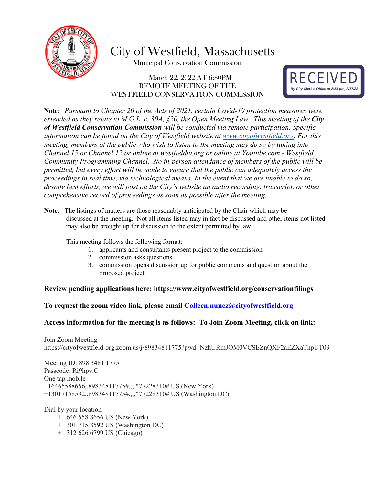

City of Westfield, Massachusetts

Municipal Conservation Commission

### March 22, 2022 AT 6:30PM REMOTE MEETING OF THE WESTFIELD CONSERVATION COMMISSION



**Note**: *Pursuant to Chapter 20 of the Acts of 2021, certain Covid-19 protection measures were extended as they relate to M.G.L. c. 30A, §20, the Open Meeting Law. This meeting of the City of Westfield Conservation Commission will be conducted via remote participation. Specific information can be found on the City of Westfield website at [www.cityofwestfield.org.](http://www.cityofwestfield.org/) For this meeting, members of the public who wish to listen to the meeting may do so by tuning into Channel 15 or Channel 12 or online at westfieldtv.org or online at Youtube.com - Westfield Community Programming Channel. No in-person attendance of members of the public will be permitted, but every effort will be made to ensure that the public can adequately access the proceedings in real time, via technological means. In the event that we are unable to do so, despite best efforts, we will post on the City's website an audio recording, transcript, or other comprehensive record of proceedings as soon as possible after the meeting.* 

**Note**: The listings of matters are those reasonably anticipated by the Chair which may be discussed at the meeting. Not all items listed may in fact be discussed and other items not listed may also be brought up for discussion to the extent permitted by law.

This meeting follows the following format:

- 1. applicants and consultants present project to the commission
- 2. commission asks questions
- 3. commission opens discussion up for public comments and question about the proposed project

#### **Review pending applications here:<https://www.cityofwestfield.org/conservationfilings>**

#### **To request the zoom video link, please email [Colleen.nunez@cityo](mailto:Meredith.borenstein@cityofwestfield.org)fwestfield.org**

#### **Access information for the meeting is as follows: To Join Zoom Meeting, click on link:**

Join Zoom Meeting https://cityofwestfield-org.zoom.us/j/89834811775?pwd=NzhURmJOM0VCSEZnQXF2aEZXaThpUT09

Meeting ID: 898 3481 1775 Passcode: Ri9hpv.C One tap mobile +16465588656,,89834811775#,,,,\*77228310# US (New York) +13017158592,,89834811775#,,,,\*77228310# US (Washington DC)

Dial by your location +1 646 558 8656 US (New York)

- +1 301 715 8592 US (Washington DC)
- +1 312 626 6799 US (Chicago)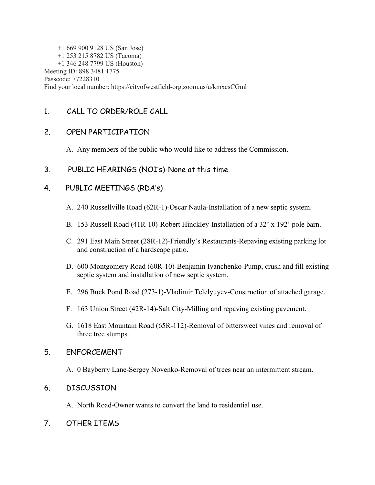+1 669 900 9128 US (San Jose) +1 253 215 8782 US (Tacoma) +1 346 248 7799 US (Houston) Meeting ID: 898 3481 1775 Passcode: 77228310 Find your local number: https://cityofwestfield-org.zoom.us/u/kmxcsCGml

# 1. CALL TO ORDER/ROLE CALL

## 2. OPEN PARTICIPATION

- A. Any members of the public who would like to address the Commission.
- 3. PUBLIC HEARINGS (NOI's)-None at this time.

## 4. PUBLIC MEETINGS (RDA's)

- A. 240 Russellville Road (62R-1)-Oscar Naula-Installation of a new septic system.
- B. 153 Russell Road (41R-10)-Robert Hinckley-Installation of a 32' x 192' pole barn.
- C. 291 East Main Street (28R-12)-Friendly's Restaurants-Repaving existing parking lot and construction of a hardscape patio.
- D. 600 Montgomery Road (60R-10)-Benjamin Ivanchenko-Pump, crush and fill existing septic system and installation of new septic system.
- E. 296 Buck Pond Road (273-1)-Vladimir Telelyuyev-Construction of attached garage.
- F. 163 Union Street (42R-14)-Salt City-Milling and repaving existing pavement.
- G. 1618 East Mountain Road (65R-112)-Removal of bittersweet vines and removal of three tree stumps.

## 5. ENFORCEMENT

A. 0 Bayberry Lane-Sergey Novenko-Removal of trees near an intermittent stream.

## 6. DISCUSSION

- A. North Road-Owner wants to convert the land to residential use.
- 7. OTHER ITEMS